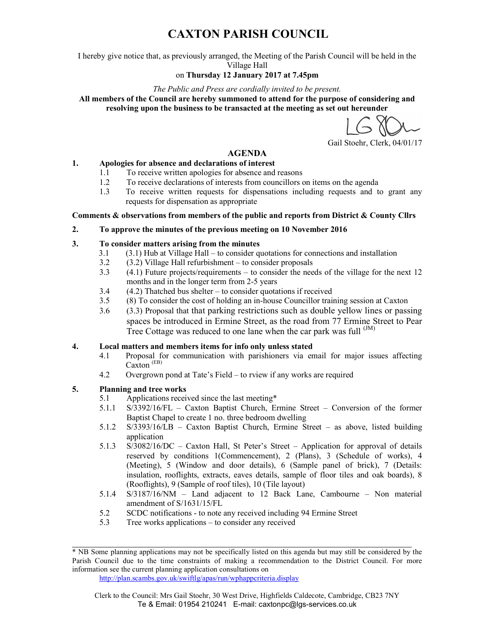# CAXTON PARISH COUNCIL

I hereby give notice that, as previously arranged, the Meeting of the Parish Council will be held in the Village Hall

### on Thursday 12 January 2017 at 7.45pm

#### The Public and Press are cordially invited to be present.

All members of the Council are hereby summoned to attend for the purpose of considering and resolving upon the business to be transacted at the meeting as set out hereunder

Gail Stoehr, Clerk, 04/01/17

#### AGENDA

#### 1. Apologies for absence and declarations of interest

- 1.1 To receive written apologies for absence and reasons
- 1.2 To receive declarations of interests from councillors on items on the agenda
- 1.3 To receive written requests for dispensations including requests and to grant any requests for dispensation as appropriate

#### Comments & observations from members of the public and reports from District & County Cllrs

#### 2. To approve the minutes of the previous meeting on 10 November 2016

#### 3. To consider matters arising from the minutes

- 3.1 (3.1) Hub at Village Hall to consider quotations for connections and installation<br>3.2 (3.2) Village Hall refurbishment to consider proposals
- $(3.2)$  Village Hall refurbishment to consider proposals
- 3.3 (4.1) Future projects/requirements to consider the needs of the village for the next 12 months and in the longer term from 2-5 years
- 3.4 (4.2) Thatched bus shelter to consider quotations if received
- 3.5 (8) To consider the cost of holding an in-house Councillor training session at Caxton
- 3.6 (3.3) Proposal that that parking restrictions such as double yellow lines or passing spaces be introduced in Ermine Street, as the road from 77 Ermine Street to Pear Tree Cottage was reduced to one lane when the car park was full  $^{(JM)}$

#### 4. Local matters and members items for info only unless stated

- 4.1 Proposal for communication with parishioners via email for major issues affecting Caxton (EB)
- 4.2 Overgrown pond at Tate's Field to rview if any works are required

#### 5. Planning and tree works

- 5.1 Applications received since the last meeting\*
- 5.1.1 S/3392/16/FL Caxton Baptist Church, Ermine Street Conversion of the former Baptist Chapel to create 1 no. three bedroom dwelling
- 5.1.2 S/3393/16/LB Caxton Baptist Church, Ermine Street as above, listed building application
- 5.1.3 S/3082/16/DC Caxton Hall, St Peter's Street Application for approval of details reserved by conditions 1(Commencement), 2 (Plans), 3 (Schedule of works), 4 (Meeting), 5 (Window and door details), 6 (Sample panel of brick), 7 (Details: insulation, rooflights, extracts, eaves details, sample of floor tiles and oak boards), 8 (Rooflights), 9 (Sample of roof tiles), 10 (Tile layout)
- 5.1.4 S/3187/16/NM Land adjacent to 12 Back Lane, Cambourne Non material amendment of S/1631/15/FL
- 5.2 SCDC notifications to note any received including 94 Ermine Street
- 5.3 Tree works applications to consider any received

http://plan.scambs.gov.uk/swiftlg/apas/run/wphappcriteria.display

<sup>\*</sup> NB Some planning applications may not be specifically listed on this agenda but may still be considered by the Parish Council due to the time constraints of making a recommendation to the District Council. For more information see the current planning application consultations on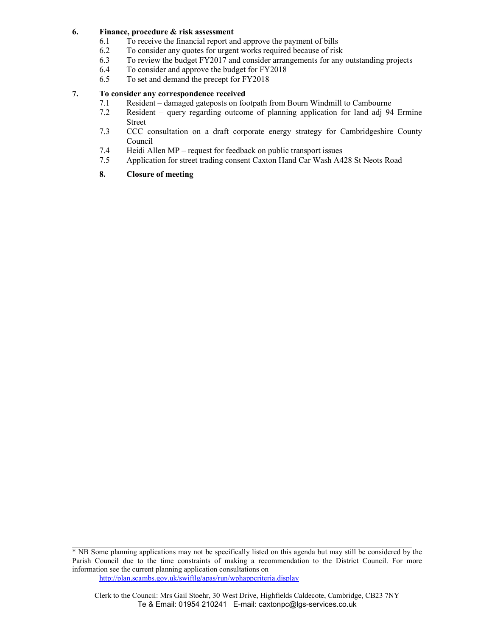#### 6. Finance, procedure & risk assessment

- 6.1 To receive the financial report and approve the payment of bills
- 6.2 To consider any quotes for urgent works required because of risk
- 6.3 To review the budget FY2017 and consider arrangements for any outstanding projects
- 6.4 To consider and approve the budget for FY2018<br>6.5 To set and demand the precept for FY2018
- To set and demand the precept for FY2018

### 7. To consider any correspondence received

- 7.1 Resident damaged gateposts on footpath from Bourn Windmill to Cambourne
- 7.2 Resident query regarding outcome of planning application for land adj 94 Ermine Street
- 7.3 CCC consultation on a draft corporate energy strategy for Cambridgeshire County Council
- 7.4 Heidi Allen MP request for feedback on public transport issues
- 7.5 Application for street trading consent Caxton Hand Car Wash A428 St Neots Road

#### 8. Closure of meeting

http://plan.scambs.gov.uk/swiftlg/apas/run/wphappcriteria.display

<sup>\*</sup> NB Some planning applications may not be specifically listed on this agenda but may still be considered by the Parish Council due to the time constraints of making a recommendation to the District Council. For more information see the current planning application consultations on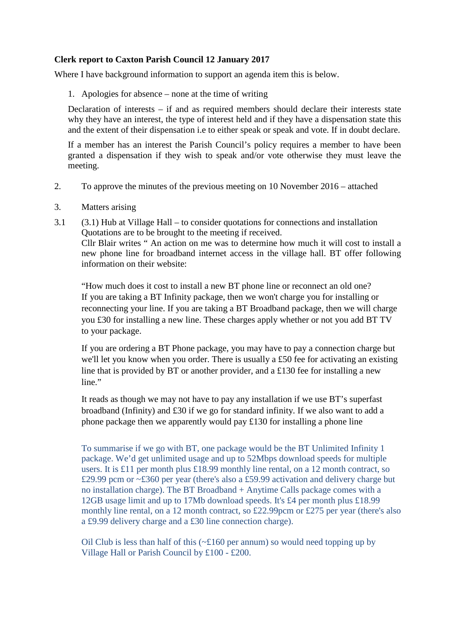### **Clerk report to Caxton Parish Council 12 January 2017**

Where I have background information to support an agenda item this is below.

1. Apologies for absence – none at the time of writing

Declaration of interests – if and as required members should declare their interests state why they have an interest, the type of interest held and if they have a dispensation state this and the extent of their dispensation i.e to either speak or speak and vote. If in doubt declare.

If a member has an interest the Parish Council's policy requires a member to have been granted a dispensation if they wish to speak and/or vote otherwise they must leave the meeting.

- 2. To approve the minutes of the previous meeting on 10 November 2016 attached
- 3. Matters arising
- 3.1 (3.1) Hub at Village Hall to consider quotations for connections and installation Quotations are to be brought to the meeting if received. Cllr Blair writes " An action on me was to determine how much it will cost to install a new phone line for broadband internet access in the village hall. BT offer following information on their website:

"How much does it cost to install a new BT phone line or reconnect an old one? If you are taking a BT Infinity package, then we won't charge you for installing or reconnecting your line. If you are taking a BT Broadband package, then we will charge you £30 for installing a new line. These charges apply whether or not you add BT TV to your package.

If you are ordering a BT Phone package, you may have to pay a connection charge but we'll let you know when you order. There is usually a £50 fee for activating an existing line that is provided by BT or another provider, and a £130 fee for installing a new line."

It reads as though we may not have to pay any installation if we use BT's superfast broadband (Infinity) and £30 if we go for standard infinity. If we also want to add a phone package then we apparently would pay £130 for installing a phone line

To summarise if we go with BT, one package would be the BT Unlimited Infinity 1 package. We'd get unlimited usage and up to 52Mbps download speeds for multiple users. It is £11 per month plus £18.99 monthly line rental, on a 12 month contract, so £29.99 pcm or ~£360 per year (there's also a £59.99 activation and delivery charge but no installation charge). The BT Broadband + Anytime Calls package comes with a 12GB usage limit and up to 17Mb download speeds. It's £4 per month plus £18.99 monthly line rental, on a 12 month contract, so £22.99pcm or £275 per year (there's also a £9.99 delivery charge and a £30 line connection charge).

Oil Club is less than half of this  $(\sim \text{\textsterling}160 \text{ per annum})$  so would need topping up by Village Hall or Parish Council by £100 - £200.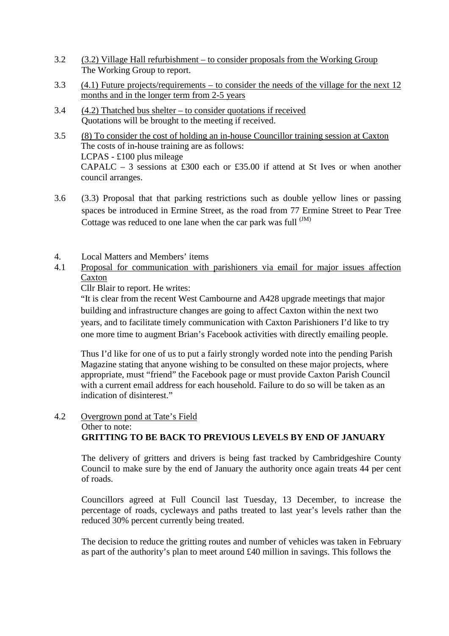- 3.2 (3.2) Village Hall refurbishment to consider proposals from the Working Group The Working Group to report.
- 3.3 (4.1) Future projects/requirements to consider the needs of the village for the next 12 months and in the longer term from 2-5 years
- 3.4 (4.2) Thatched bus shelter to consider quotations if received Quotations will be brought to the meeting if received.
- 3.5 (8) To consider the cost of holding an in-house Councillor training session at Caxton The costs of in-house training are as follows: LCPAS - £100 plus mileage CAPALC – 3 sessions at £300 each or £35.00 if attend at St Ives or when another council arranges.
- 3.6 (3.3) Proposal that that parking restrictions such as double yellow lines or passing spaces be introduced in Ermine Street, as the road from 77 Ermine Street to Pear Tree Cottage was reduced to one lane when the car park was full  $^{(JM)}$
- 4. Local Matters and Members' items
- 4.1 Proposal for communication with parishioners via email for major issues affection Caxton

Cllr Blair to report. He writes:

"It is clear from the recent West Cambourne and A428 upgrade meetings that major building and infrastructure changes are going to affect Caxton within the next two years, and to facilitate timely communication with Caxton Parishioners I'd like to try one more time to augment Brian's Facebook activities with directly emailing people.

Thus I'd like for one of us to put a fairly strongly worded note into the pending Parish Magazine stating that anyone wishing to be consulted on these major projects, where appropriate, must "friend" the Facebook page or must provide Caxton Parish Council with a current email address for each household. Failure to do so will be taken as an indication of disinterest."

### 4.2 Overgrown pond at Tate's Field Other to note: **GRITTING TO BE BACK TO PREVIOUS LEVELS BY END OF JANUARY**

The delivery of gritters and drivers is being fast tracked by Cambridgeshire County Council to make sure by the end of January the authority once again treats 44 per cent of roads.

Councillors agreed at Full Council last Tuesday, 13 December, to increase the percentage of roads, cycleways and paths treated to last year's levels rather than the reduced 30% percent currently being treated.

The decision to reduce the gritting routes and number of vehicles was taken in February as part of the authority's plan to meet around £40 million in savings. This follows the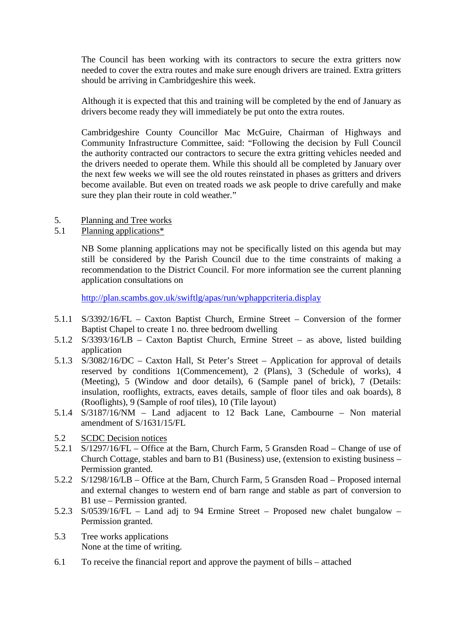The Council has been working with its contractors to secure the extra gritters now needed to cover the extra routes and make sure enough drivers are trained. Extra gritters should be arriving in Cambridgeshire this week.

Although it is expected that this and training will be completed by the end of January as drivers become ready they will immediately be put onto the extra routes.

Cambridgeshire County Councillor Mac McGuire, Chairman of Highways and Community Infrastructure Committee, said: "Following the decision by Full Council the authority contracted our contractors to secure the extra gritting vehicles needed and the drivers needed to operate them. While this should all be completed by January over the next few weeks we will see the old routes reinstated in phases as gritters and drivers become available. But even on treated roads we ask people to drive carefully and make sure they plan their route in cold weather."

- 5. Planning and Tree works
- 5.1 Planning applications\*

NB Some planning applications may not be specifically listed on this agenda but may still be considered by the Parish Council due to the time constraints of making a recommendation to the District Council. For more information see the current planning application consultations on

http://plan.scambs.gov.uk/swiftlg/apas/run/wphappcriteria.display

- 5.1.1 S/3392/16/FL Caxton Baptist Church, Ermine Street Conversion of the former Baptist Chapel to create 1 no. three bedroom dwelling
- 5.1.2 S/3393/16/LB Caxton Baptist Church, Ermine Street as above, listed building application
- 5.1.3 S/3082/16/DC Caxton Hall, St Peter's Street Application for approval of details reserved by conditions 1(Commencement), 2 (Plans), 3 (Schedule of works), 4 (Meeting), 5 (Window and door details), 6 (Sample panel of brick), 7 (Details: insulation, rooflights, extracts, eaves details, sample of floor tiles and oak boards), 8 (Rooflights), 9 (Sample of roof tiles), 10 (Tile layout)
- 5.1.4 S/3187/16/NM Land adjacent to 12 Back Lane, Cambourne Non material amendment of S/1631/15/FL
- 5.2 SCDC Decision notices
- 5.2.1 S/1297/16/FL Office at the Barn, Church Farm, 5 Gransden Road Change of use of Church Cottage, stables and barn to B1 (Business) use, (extension to existing business – Permission granted.
- 5.2.2 S/1298/16/LB Office at the Barn, Church Farm, 5 Gransden Road Proposed internal and external changes to western end of barn range and stable as part of conversion to B1 use – Permission granted.
- 5.2.3 S/0539/16/FL Land adj to 94 Ermine Street Proposed new chalet bungalow Permission granted.
- 5.3 Tree works applications None at the time of writing.
- 6.1 To receive the financial report and approve the payment of bills attached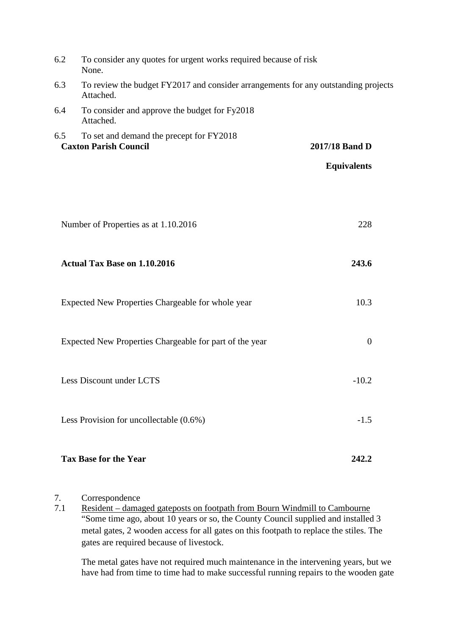| 6.2                                                                             | To consider any quotes for urgent works required because of risk<br>None.                       |                    |  |  |  |  |  |  |
|---------------------------------------------------------------------------------|-------------------------------------------------------------------------------------------------|--------------------|--|--|--|--|--|--|
| 6.3                                                                             | To review the budget FY2017 and consider arrangements for any outstanding projects<br>Attached. |                    |  |  |  |  |  |  |
| 6.4                                                                             | To consider and approve the budget for Fy2018<br>Attached.                                      |                    |  |  |  |  |  |  |
| 6.5<br>To set and demand the precept for FY2018<br><b>Caxton Parish Council</b> |                                                                                                 | 2017/18 Band D     |  |  |  |  |  |  |
|                                                                                 |                                                                                                 | <b>Equivalents</b> |  |  |  |  |  |  |
|                                                                                 |                                                                                                 |                    |  |  |  |  |  |  |
|                                                                                 | Number of Properties as at 1.10.2016                                                            | 228                |  |  |  |  |  |  |
|                                                                                 | <b>Actual Tax Base on 1.10.2016</b>                                                             | 243.6              |  |  |  |  |  |  |
|                                                                                 | Expected New Properties Chargeable for whole year                                               | 10.3               |  |  |  |  |  |  |
|                                                                                 | Expected New Properties Chargeable for part of the year                                         | $\mathbf{0}$       |  |  |  |  |  |  |
|                                                                                 | Less Discount under LCTS                                                                        | $-10.2$            |  |  |  |  |  |  |
|                                                                                 | Less Provision for uncollectable $(0.6\%)$                                                      | $-1.5$             |  |  |  |  |  |  |
|                                                                                 | <b>Tax Base for the Year</b>                                                                    | 242.2              |  |  |  |  |  |  |

### 7. Correspondence

7.1 Resident – damaged gateposts on footpath from Bourn Windmill to Cambourne "Some time ago, about 10 years or so, the County Council supplied and installed 3 metal gates, 2 wooden access for all gates on this footpath to replace the stiles. The gates are required because of livestock.

The metal gates have not required much maintenance in the intervening years, but we have had from time to time had to make successful running repairs to the wooden gate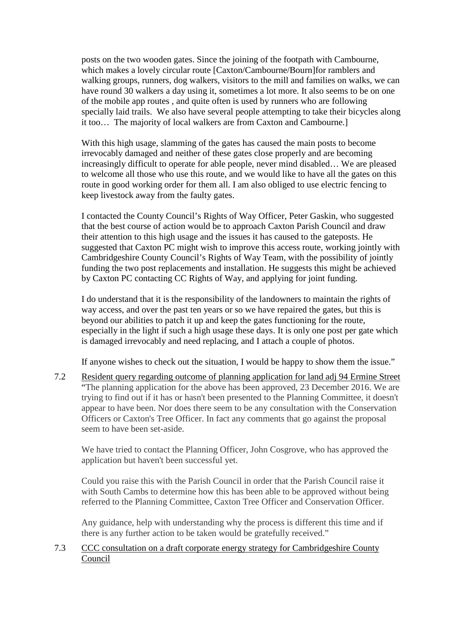posts on the two wooden gates. Since the joining of the footpath with Cambourne, which makes a lovely circular route [Caxton/Cambourne/Bourn]for ramblers and walking groups, runners, dog walkers, visitors to the mill and families on walks, we can have round 30 walkers a day using it, sometimes a lot more. It also seems to be on one of the mobile app routes , and quite often is used by runners who are following specially laid trails. We also have several people attempting to take their bicycles along it too… The majority of local walkers are from Caxton and Cambourne.]

With this high usage, slamming of the gates has caused the main posts to become irrevocably damaged and neither of these gates close properly and are becoming increasingly difficult to operate for able people, never mind disabled… We are pleased to welcome all those who use this route, and we would like to have all the gates on this route in good working order for them all. I am also obliged to use electric fencing to keep livestock away from the faulty gates.

I contacted the County Council's Rights of Way Officer, Peter Gaskin, who suggested that the best course of action would be to approach Caxton Parish Council and draw their attention to this high usage and the issues it has caused to the gateposts. He suggested that Caxton PC might wish to improve this access route, working jointly with Cambridgeshire County Council's Rights of Way Team, with the possibility of jointly funding the two post replacements and installation. He suggests this might be achieved by Caxton PC contacting CC Rights of Way, and applying for joint funding.

I do understand that it is the responsibility of the landowners to maintain the rights of way access, and over the past ten years or so we have repaired the gates, but this is beyond our abilities to patch it up and keep the gates functioning for the route, especially in the light if such a high usage these days. It is only one post per gate which is damaged irrevocably and need replacing, and I attach a couple of photos.

If anyone wishes to check out the situation, I would be happy to show them the issue."

7.2 Resident query regarding outcome of planning application for land adj 94 Ermine Street "The planning application for the above has been approved, 23 December 2016. We are trying to find out if it has or hasn't been presented to the Planning Committee, it doesn't appear to have been. Nor does there seem to be any consultation with the Conservation Officers or Caxton's Tree Officer. In fact any comments that go against the proposal seem to have been set-aside.

We have tried to contact the Planning Officer, John Cosgrove, who has approved the application but haven't been successful yet.

Could you raise this with the Parish Council in order that the Parish Council raise it with South Cambs to determine how this has been able to be approved without being referred to the Planning Committee, Caxton Tree Officer and Conservation Officer.

Any guidance, help with understanding why the process is different this time and if there is any further action to be taken would be gratefully received."

### 7.3 CCC consultation on a draft corporate energy strategy for Cambridgeshire County Council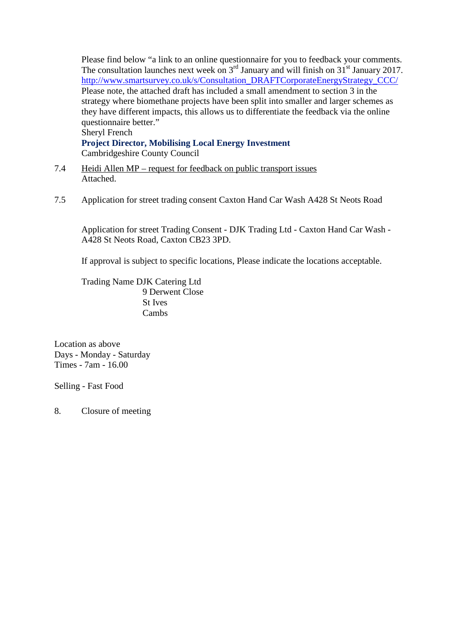Please find below "a link to an online questionnaire for you to feedback your comments. The consultation launches next week on  $3<sup>rd</sup>$  January and will finish on  $31<sup>st</sup>$  January 2017. http://www.smartsurvey.co.uk/s/Consultation\_DRAFTCorporateEnergyStrategy\_CCC/ Please note, the attached draft has included a small amendment to section 3 in the strategy where biomethane projects have been split into smaller and larger schemes as they have different impacts, this allows us to differentiate the feedback via the online questionnaire better." Sheryl French

**Project Director, Mobilising Local Energy Investment** Cambridgeshire County Council

- 7.4 Heidi Allen MP request for feedback on public transport issues Attached.
- 7.5 Application for street trading consent Caxton Hand Car Wash A428 St Neots Road

Application for street Trading Consent - DJK Trading Ltd - Caxton Hand Car Wash - A428 St Neots Road, Caxton CB23 3PD.

If approval is subject to specific locations, Please indicate the locations acceptable.

Trading Name DJK Catering Ltd 9 Derwent Close St Ives Cambs

Location as above Days - Monday - Saturday Times - 7am - 16.00

Selling - Fast Food

8. Closure of meeting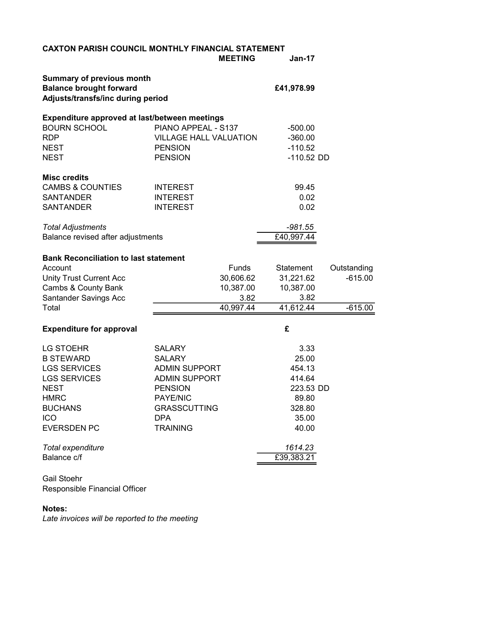| <b>CAXTON PARISH COUNCIL MONTHLY FINANCIAL STATEMENT</b>                                                |                               |              |             |  |  |  |
|---------------------------------------------------------------------------------------------------------|-------------------------------|--------------|-------------|--|--|--|
|                                                                                                         | <b>MEETING</b>                | $Jan-17$     |             |  |  |  |
| <b>Summary of previous month</b><br><b>Balance brought forward</b><br>Adjusts/transfs/inc during period | £41,978.99                    |              |             |  |  |  |
| Expenditure approved at last/between meetings                                                           |                               |              |             |  |  |  |
| <b>BOURN SCHOOL</b>                                                                                     | PIANO APPEAL - S137           | $-500.00$    |             |  |  |  |
| <b>RDP</b>                                                                                              | <b>VILLAGE HALL VALUATION</b> | $-360.00$    |             |  |  |  |
| <b>NEST</b>                                                                                             | <b>PENSION</b>                | $-110.52$    |             |  |  |  |
| <b>NEST</b>                                                                                             | <b>PENSION</b>                | $-110.52$ DD |             |  |  |  |
| <b>Misc credits</b>                                                                                     |                               |              |             |  |  |  |
| <b>CAMBS &amp; COUNTIES</b>                                                                             | <b>INTEREST</b>               | 99.45        |             |  |  |  |
| <b>SANTANDER</b>                                                                                        | <b>INTEREST</b>               | 0.02         |             |  |  |  |
| <b>SANTANDER</b>                                                                                        | <b>INTEREST</b>               | 0.02         |             |  |  |  |
| <b>Total Adjustments</b>                                                                                |                               | $-981.55$    |             |  |  |  |
| Balance revised after adjustments                                                                       |                               | £40,997.44   |             |  |  |  |
| <b>Bank Reconciliation to last statement</b>                                                            |                               |              |             |  |  |  |
| Account                                                                                                 | <b>Funds</b>                  | Statement    | Outstanding |  |  |  |
| <b>Unity Trust Current Acc</b>                                                                          | 30,606.62                     | 31,221.62    | $-615.00$   |  |  |  |
| Cambs & County Bank                                                                                     | 10,387.00                     | 10,387.00    |             |  |  |  |
| Santander Savings Acc                                                                                   | 3.82                          | 3.82         |             |  |  |  |
| Total                                                                                                   | 40,997.44                     | 41,612.44    | $-615.00$   |  |  |  |
| <b>Expenditure for approval</b>                                                                         |                               | £            |             |  |  |  |
| <b>LG STOEHR</b>                                                                                        | <b>SALARY</b>                 | 3.33         |             |  |  |  |
| <b>B STEWARD</b>                                                                                        | <b>SALARY</b>                 | 25.00        |             |  |  |  |
| <b>LGS SERVICES</b>                                                                                     | <b>ADMIN SUPPORT</b>          | 454.13       |             |  |  |  |
| <b>LGS SERVICES</b>                                                                                     | <b>ADMIN SUPPORT</b>          | 414.64       |             |  |  |  |
| <b>NEST</b>                                                                                             | <b>PENSION</b>                | 223.53 DD    |             |  |  |  |
| <b>HMRC</b>                                                                                             | <b>PAYE/NIC</b>               | 89.80        |             |  |  |  |
| <b>BUCHANS</b>                                                                                          | <b>GRASSCUTTING</b>           | 328.80       |             |  |  |  |
| ICO                                                                                                     | <b>DPA</b>                    | 35.00        |             |  |  |  |
| <b>EVERSDEN PC</b>                                                                                      | <b>TRAINING</b>               | 40.00        |             |  |  |  |
| Total expenditure                                                                                       |                               | 1614.23      |             |  |  |  |
| Balance c/f                                                                                             |                               | £39,383.21   |             |  |  |  |
|                                                                                                         |                               |              |             |  |  |  |

Gail Stoehr Responsible Financial Officer

### Notes:

Late invoices will be reported to the meeting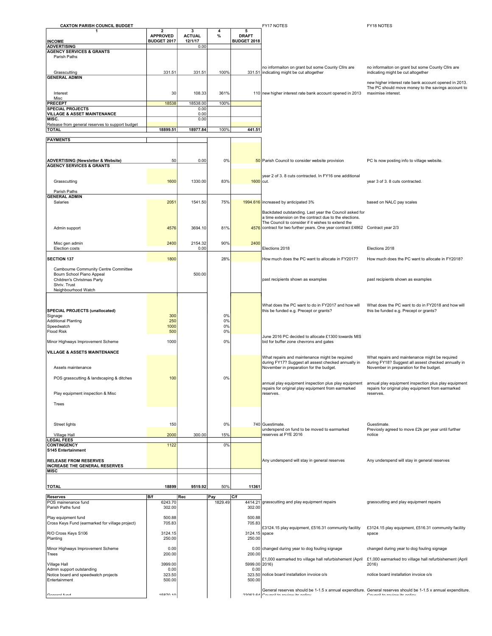| <b>CAXTON PARISH COUNCIL BUDGET</b>                                                  |                                 |                    |                |                    | FY17 NOTES                                                                                                                           | FY18 NOTES                                                                                                                                   |
|--------------------------------------------------------------------------------------|---------------------------------|--------------------|----------------|--------------------|--------------------------------------------------------------------------------------------------------------------------------------|----------------------------------------------------------------------------------------------------------------------------------------------|
|                                                                                      | $\mathbf{2}$<br><b>APPROVED</b> | 3<br><b>ACTUAL</b> | 4<br>%         | 5<br><b>DRAFT</b>  |                                                                                                                                      |                                                                                                                                              |
| <b>INCOME</b>                                                                        | BUDGET 2017                     | 12/1/17            |                | <b>BUDGET 2018</b> |                                                                                                                                      |                                                                                                                                              |
| <b>ADVERTISING</b><br><b>AGENCY SERVICES &amp; GRANTS</b>                            |                                 | 0.00               |                |                    |                                                                                                                                      |                                                                                                                                              |
| Parish Paths                                                                         |                                 |                    |                |                    |                                                                                                                                      |                                                                                                                                              |
|                                                                                      |                                 |                    |                |                    | no informaiton on grant but some County Cllrs are                                                                                    | no informaiton on grant but some County Cllrs are                                                                                            |
| Grasscutting<br><b>GENERAL ADMIN</b>                                                 | 331.51                          | 331.51             | 100%           |                    | 331.51 indicating might be cut altogether                                                                                            | indicating might be cut altogether                                                                                                           |
|                                                                                      |                                 |                    |                |                    |                                                                                                                                      | new higher interest rate bank account opened in 2013.                                                                                        |
| Interest                                                                             | 30                              | 108.33             | 361%           |                    | 110 new higher interest rate bank account opened in 2013                                                                             | The PC should move money to the savings account to<br>maximise interest.                                                                     |
| Misc                                                                                 |                                 |                    |                |                    |                                                                                                                                      |                                                                                                                                              |
| <b>PRECEPT</b><br><b>SPECIAL PROJECTS</b>                                            | 18538                           | 18538.00<br>0.00   | 100%           |                    |                                                                                                                                      |                                                                                                                                              |
| <b>VILLAGE &amp; ASSET MAINTENANCE</b>                                               |                                 | 0.00               |                |                    |                                                                                                                                      |                                                                                                                                              |
| MISC.<br>Release from general reserves to support budget                             |                                 | 0.00               |                |                    |                                                                                                                                      |                                                                                                                                              |
| <b>TOTAL</b>                                                                         | 18899.51                        | 18977.84           | 100%           | 441.51             |                                                                                                                                      |                                                                                                                                              |
| <b>PAYMENTS</b>                                                                      |                                 |                    |                |                    |                                                                                                                                      |                                                                                                                                              |
|                                                                                      |                                 |                    |                |                    |                                                                                                                                      |                                                                                                                                              |
|                                                                                      |                                 |                    |                |                    |                                                                                                                                      |                                                                                                                                              |
| <b>ADVERTISING (Newsletter &amp; Website)</b><br><b>AGENCY SERVICES &amp; GRANTS</b> | 50                              | 0.00               | 0%             |                    | 50 Parish Council to consider website provision                                                                                      | PC Is now posting info to village website.                                                                                                   |
|                                                                                      |                                 |                    |                |                    |                                                                                                                                      |                                                                                                                                              |
| Grasscutting                                                                         | 1600                            | 1330.00            | 83%            | 1600 cut.          | year 2 of 3.8 cuts contracted. In FY16 one additional                                                                                | year 3 of 3. 8 cuts contracted.                                                                                                              |
|                                                                                      |                                 |                    |                |                    |                                                                                                                                      |                                                                                                                                              |
| Parish Paths<br><b>GENERAL ADMIN</b>                                                 |                                 |                    |                |                    |                                                                                                                                      |                                                                                                                                              |
| Salaries                                                                             | 2051                            | 1541.50            | 75%            |                    | 1994.616 increased by anticipated 3%                                                                                                 | based on NALC pay scales                                                                                                                     |
|                                                                                      |                                 |                    |                |                    | Backdated outstanding. Last year the Council asked for                                                                               |                                                                                                                                              |
|                                                                                      |                                 |                    |                |                    | a time extension on the contract due to the elections.                                                                               |                                                                                                                                              |
| Admin support                                                                        | 4576                            | 3694.10            | 81%            |                    | The Council to consider if it wishes to extend the<br>4576 contract for two further years. One year contract £4862 Contract year 2/3 |                                                                                                                                              |
|                                                                                      |                                 |                    |                |                    |                                                                                                                                      |                                                                                                                                              |
| Misc gen admin                                                                       | 2400                            | 2154.32            | 90%            | 2400               |                                                                                                                                      |                                                                                                                                              |
| Election costs                                                                       |                                 | 0.00               |                |                    | Elections 2018                                                                                                                       | Elections 2018                                                                                                                               |
| <b>SECTION 137</b>                                                                   | 1800                            |                    | 28%            |                    | How much does the PC want to allocate in FY2017?                                                                                     | How much does the PC want to allocate in FY2018?                                                                                             |
|                                                                                      |                                 |                    |                |                    |                                                                                                                                      |                                                                                                                                              |
| Cambourne Community Centre Committee<br>Bourn School Piano Appeal                    |                                 | 500.00             |                |                    |                                                                                                                                      |                                                                                                                                              |
| Children's Christmas Party                                                           |                                 |                    |                |                    | past recipients shown as examples                                                                                                    | past recipients shown as examples                                                                                                            |
| Shriv. Trust<br>Neighbourhood Watch                                                  |                                 |                    |                |                    |                                                                                                                                      |                                                                                                                                              |
|                                                                                      |                                 |                    |                |                    |                                                                                                                                      |                                                                                                                                              |
|                                                                                      |                                 |                    |                |                    | What does the PC want to do in FY2017 and how will                                                                                   | What does the PC want to do in FY2018 and how will                                                                                           |
| <b>SPECIAL PROJECTS (unallocated)</b>                                                |                                 |                    |                |                    | this be funded e.g. Precept or grants?                                                                                               | this be funded e.g. Precept or grants?                                                                                                       |
| Signage<br>Additional Planting                                                       | 300<br>250                      |                    | 0%<br>0%       |                    |                                                                                                                                      |                                                                                                                                              |
| Speedwatch                                                                           | 1000                            |                    | 0%             |                    |                                                                                                                                      |                                                                                                                                              |
| <b>Flood Risk</b>                                                                    | 500                             |                    | 0%             |                    | June 2016 PC decided to allocate £1300 towards MIS                                                                                   |                                                                                                                                              |
| Minor Highways Improvement Scheme                                                    | 1000                            |                    | 0%             |                    | bid for buffer zone chevrons and gates                                                                                               |                                                                                                                                              |
| <b>VILLAGE &amp; ASSETS MAINTENANCE</b>                                              |                                 |                    |                |                    |                                                                                                                                      |                                                                                                                                              |
|                                                                                      |                                 |                    |                |                    | What repairs and maintenance might be required                                                                                       | What repairs and maintenance might be required                                                                                               |
| Assets maintenance                                                                   |                                 |                    |                |                    | during FY17? Suggest all assest checked annually in<br>November in preparation for the budget.                                       | during FY18? Suggest all assest checked annually in<br>November in preparation for the budget.                                               |
|                                                                                      |                                 |                    |                |                    |                                                                                                                                      |                                                                                                                                              |
| POS grasscutting & landscaping & ditches                                             | 100                             |                    | 0%             |                    | annual play equipment inspection plus play equipment                                                                                 | annual play equipment inspection plus play equipment                                                                                         |
|                                                                                      |                                 |                    |                |                    | repairs for original play equipment from earmarked                                                                                   | repairs for original play equipment from earmarked                                                                                           |
| Play equipment inspection & Misc                                                     |                                 |                    |                |                    | reserves.                                                                                                                            | reserves.                                                                                                                                    |
| Trees                                                                                |                                 |                    |                |                    |                                                                                                                                      |                                                                                                                                              |
|                                                                                      |                                 |                    |                |                    |                                                                                                                                      |                                                                                                                                              |
| <b>Street lights</b>                                                                 | 150                             |                    | 0%             |                    | 740 Guestimate.                                                                                                                      | Guestimate.                                                                                                                                  |
|                                                                                      |                                 |                    |                |                    | underspend on fund to be moved to earmarked                                                                                          | Previosly agreed to move £2k per year until further                                                                                          |
| Village Hall<br><b>LEGAL FEES</b>                                                    | 2000                            | 300.00             | 15%            |                    | reserves at FYE 2016                                                                                                                 | notice                                                                                                                                       |
| <b>CONTINGENCY</b>                                                                   | 1122                            |                    | 0%             |                    |                                                                                                                                      |                                                                                                                                              |
| S145 Entertainment                                                                   |                                 |                    |                |                    |                                                                                                                                      |                                                                                                                                              |
| <b>RELEASE FROM RESERVES</b>                                                         |                                 |                    |                |                    | Any underspend will stay in general reserves                                                                                         | Any underspend will stay in general reserves                                                                                                 |
| <b>INCREASE THE GENERAL RESERVES</b><br><b>MISC</b>                                  |                                 |                    |                |                    |                                                                                                                                      |                                                                                                                                              |
|                                                                                      |                                 |                    |                |                    |                                                                                                                                      |                                                                                                                                              |
| <b>TOTAL</b>                                                                         | 18899                           | 9519.92            | 50%            | 11361              |                                                                                                                                      |                                                                                                                                              |
|                                                                                      |                                 |                    |                |                    |                                                                                                                                      |                                                                                                                                              |
| <b>Reserves</b><br>POS mainenance fund                                               | <b>B/f</b><br>6243.70           | Rec                | Pay<br>1829.49 | C/f<br>4414.21     | grasscutting and play equipment repairs                                                                                              | grasscutting and play equipment repairs                                                                                                      |
| Parish Paths fund                                                                    | 302.00                          |                    |                | 302.00             |                                                                                                                                      |                                                                                                                                              |
| Play equipment fund                                                                  | 500.88                          |                    |                | 500.88             |                                                                                                                                      |                                                                                                                                              |
| Cross Keys Fund (earmarked for village project)                                      | 705.83                          |                    |                | 705.83             |                                                                                                                                      |                                                                                                                                              |
| R/O Cross Keys S106                                                                  | 3124.15                         |                    |                | 3124.15 space      | £3124.15 play equipment, £516.31 community facility                                                                                  | £3124.15 play equipment, £516.31 community facility                                                                                          |
| Planting                                                                             | 250.00                          |                    |                | 250.00             |                                                                                                                                      | space                                                                                                                                        |
| Minor Highways Improvement Scheme                                                    | 0.00                            |                    |                |                    | 0.00 changed during year to dog fouling signage                                                                                      | changed during year to dog fouling signage                                                                                                   |
| Trees                                                                                | 200.00                          |                    |                | 200.00             |                                                                                                                                      |                                                                                                                                              |
| Village Hall                                                                         | 3999.00                         |                    |                | 5999.00 2016)      | £1,000 earmarked tro village hall refurbishement (April                                                                              | £1,000 earmarked tro village hall refurbishement (April<br>2016)                                                                             |
| Admin support outstanding                                                            | 0.00                            |                    |                | 0.00               |                                                                                                                                      |                                                                                                                                              |
| Notice board and speedwatch projects<br>Entertainment                                | 323.50<br>500.00                |                    |                | 500.00             | 323.50 notice board installation invoice o/s                                                                                         | notice board installation invoice o/s                                                                                                        |
|                                                                                      |                                 |                    |                |                    |                                                                                                                                      |                                                                                                                                              |
| Conoral fund                                                                         | 1507010                         |                    |                | na canco           | Council to roviour its nation                                                                                                        | General reserves should be 1-1.5 x annual expenditure. General reserves should be 1-1.5 x annual expenditure.<br>Council to mulourite nation |
|                                                                                      |                                 |                    |                |                    |                                                                                                                                      |                                                                                                                                              |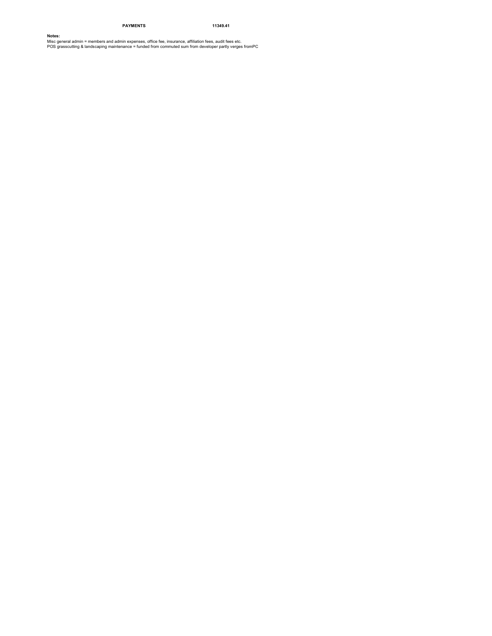#### PAYMENTS 11349.41

**Notes:**<br>Misc general admin = members and admin expenses, office fee, insurance, affiliation fees, audit fees etc.<br>POS grasscutting & landscaping maintenance = funded from commuted sum from developer partly verges fromPC .